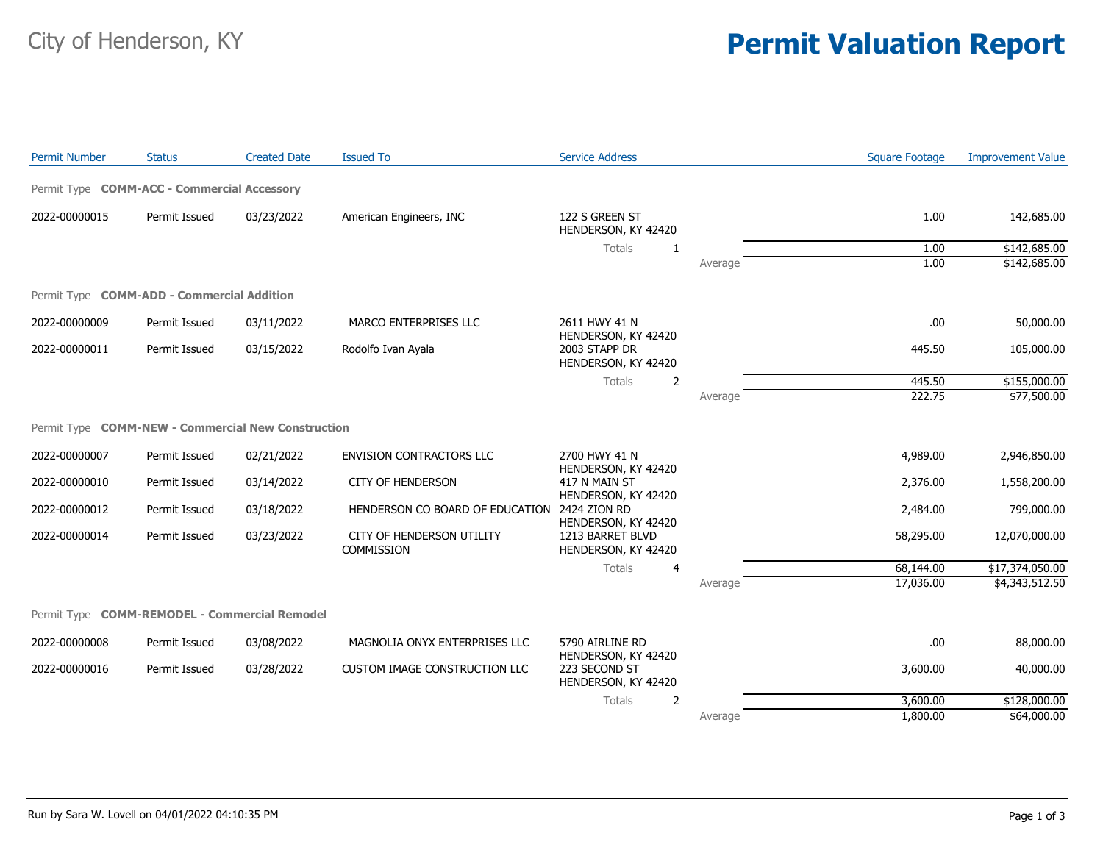## City of Henderson, KY **Permit Valuation Report**

| <b>Permit Number</b>                               | <b>Status</b> | <b>Created Date</b> | <b>Issued To</b>                               | <b>Service Address</b>                  |         | <b>Square Footage</b> | <b>Improvement Value</b> |
|----------------------------------------------------|---------------|---------------------|------------------------------------------------|-----------------------------------------|---------|-----------------------|--------------------------|
| Permit Type COMM-ACC - Commercial Accessory        |               |                     |                                                |                                         |         |                       |                          |
| 2022-00000015                                      | Permit Issued | 03/23/2022          | American Engineers, INC                        | 122 S GREEN ST<br>HENDERSON, KY 42420   |         | 1.00                  | 142,685.00               |
|                                                    |               |                     |                                                | Totals<br>-1                            |         | 1.00                  | \$142,685.00             |
|                                                    |               |                     |                                                |                                         | Average | 1.00                  | \$142,685.00             |
| Permit Type COMM-ADD - Commercial Addition         |               |                     |                                                |                                         |         |                       |                          |
| 2022-00000009                                      | Permit Issued | 03/11/2022          | MARCO ENTERPRISES LLC                          | 2611 HWY 41 N<br>HENDERSON, KY 42420    |         | .00                   | 50,000.00                |
| 2022-00000011                                      | Permit Issued | 03/15/2022          | Rodolfo Ivan Ayala                             | 2003 STAPP DR<br>HENDERSON, KY 42420    |         | 445.50                | 105,000.00               |
|                                                    |               |                     |                                                | Totals<br>$\overline{2}$                |         | 445.50                | \$155,000.00             |
|                                                    |               |                     |                                                |                                         | Average | 222.75                | \$77,500.00              |
| Permit Type COMM-NEW - Commercial New Construction |               |                     |                                                |                                         |         |                       |                          |
| 2022-00000007                                      | Permit Issued | 02/21/2022          | <b>ENVISION CONTRACTORS LLC</b>                | 2700 HWY 41 N<br>HENDERSON, KY 42420    |         | 4,989.00              | 2,946,850.00             |
| 2022-00000010                                      | Permit Issued | 03/14/2022          | <b>CITY OF HENDERSON</b>                       | 417 N MAIN ST<br>HENDERSON, KY 42420    |         | 2,376.00              | 1,558,200.00             |
| 2022-00000012                                      | Permit Issued | 03/18/2022          | HENDERSON CO BOARD OF EDUCATION 2424 ZION RD   | HENDERSON, KY 42420                     |         | 2,484.00              | 799,000.00               |
| 2022-00000014                                      | Permit Issued | 03/23/2022          | CITY OF HENDERSON UTILITY<br><b>COMMISSION</b> | 1213 BARRET BLVD<br>HENDERSON, KY 42420 |         | 58,295.00             | 12,070,000.00            |
|                                                    |               |                     |                                                | Totals<br>4                             |         | 68,144.00             | \$17,374,050.00          |
|                                                    |               |                     |                                                |                                         | Average | 17,036.00             | \$4,343,512.50           |
| Permit Type COMM-REMODEL - Commercial Remodel      |               |                     |                                                |                                         |         |                       |                          |
| 2022-00000008                                      | Permit Issued | 03/08/2022          | MAGNOLIA ONYX ENTERPRISES LLC                  | 5790 AIRLINE RD<br>HENDERSON, KY 42420  |         | .00                   | 88,000.00                |
| 2022-00000016                                      | Permit Issued | 03/28/2022          | CUSTOM IMAGE CONSTRUCTION LLC                  | 223 SECOND ST<br>HENDERSON, KY 42420    |         | 3,600.00              | 40,000.00                |
|                                                    |               |                     |                                                | $\overline{2}$<br>Totals                |         | 3,600.00              | \$128,000.00             |
|                                                    |               |                     |                                                |                                         | Average | 1,800.00              | \$64,000.00              |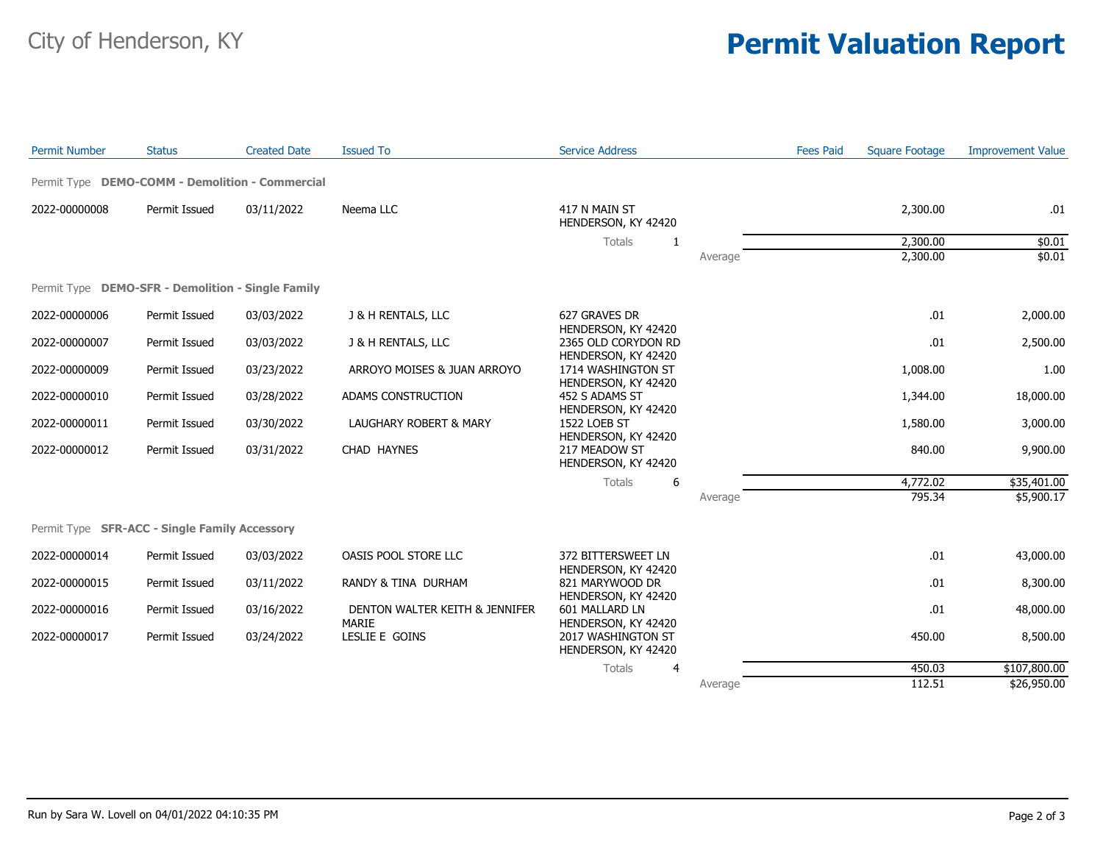## City of Henderson, KY **Permit Valuation Report**

| <b>Permit Number</b> | <b>Status</b>                                     | <b>Created Date</b> | <b>Issued To</b>                               | <b>Service Address</b>                                           |         | <b>Fees Paid</b> | <b>Square Footage</b> | <b>Improvement Value</b> |
|----------------------|---------------------------------------------------|---------------------|------------------------------------------------|------------------------------------------------------------------|---------|------------------|-----------------------|--------------------------|
|                      | Permit Type DEMO-COMM - Demolition - Commercial   |                     |                                                |                                                                  |         |                  |                       |                          |
| 2022-00000008        | Permit Issued                                     | 03/11/2022          | Neema LLC                                      | 417 N MAIN ST<br>HENDERSON, KY 42420                             |         |                  | 2,300.00              | .01                      |
|                      |                                                   |                     |                                                | Totals<br>-1                                                     |         |                  | 2,300.00              | \$0.01                   |
|                      |                                                   |                     |                                                |                                                                  | Average |                  | 2,300.00              | \$0.01                   |
|                      | Permit Type DEMO-SFR - Demolition - Single Family |                     |                                                |                                                                  |         |                  |                       |                          |
| 2022-00000006        | Permit Issued                                     | 03/03/2022          | J & H RENTALS, LLC                             | 627 GRAVES DR<br>HENDERSON, KY 42420                             |         |                  | .01                   | 2,000.00                 |
| 2022-00000007        | Permit Issued                                     | 03/03/2022          | J & H RENTALS, LLC                             | 2365 OLD CORYDON RD                                              |         |                  | .01                   | 2,500.00                 |
| 2022-00000009        | Permit Issued                                     | 03/23/2022          | ARROYO MOISES & JUAN ARROYO                    | HENDERSON, KY 42420<br>1714 WASHINGTON ST<br>HENDERSON, KY 42420 |         |                  | 1,008.00              | 1.00                     |
| 2022-00000010        | Permit Issued                                     | 03/28/2022          | ADAMS CONSTRUCTION                             | 452 S ADAMS ST<br>HENDERSON, KY 42420                            |         |                  | 1,344.00              | 18,000.00                |
| 2022-00000011        | Permit Issued                                     | 03/30/2022          | LAUGHARY ROBERT & MARY                         | <b>1522 LOEB ST</b>                                              |         |                  | 1,580.00              | 3,000.00                 |
| 2022-00000012        | Permit Issued                                     | 03/31/2022          | CHAD HAYNES                                    | HENDERSON, KY 42420<br>217 MEADOW ST<br>HENDERSON, KY 42420      |         |                  | 840.00                | 9,900.00                 |
|                      |                                                   |                     |                                                | Totals<br>6                                                      |         |                  | 4,772.02              | \$35,401.00              |
|                      |                                                   |                     |                                                |                                                                  | Average |                  | 795.34                | \$5,900.17               |
|                      | Permit Type SFR-ACC - Single Family Accessory     |                     |                                                |                                                                  |         |                  |                       |                          |
| 2022-00000014        | Permit Issued                                     | 03/03/2022          | OASIS POOL STORE LLC                           | 372 BITTERSWEET LN<br>HENDERSON, KY 42420                        |         |                  | .01                   | 43,000.00                |
| 2022-00000015        | Permit Issued                                     | 03/11/2022          | RANDY & TINA DURHAM                            | 821 MARYWOOD DR<br>HENDERSON, KY 42420                           |         |                  | .01                   | 8,300.00                 |
| 2022-00000016        | Permit Issued                                     | 03/16/2022          | DENTON WALTER KEITH & JENNIFER<br><b>MARIE</b> | 601 MALLARD LN<br>HENDERSON, KY 42420                            |         |                  | .01                   | 48,000.00                |
| 2022-00000017        | Permit Issued                                     | 03/24/2022          | LESLIE E GOINS                                 | 2017 WASHINGTON ST<br>HENDERSON, KY 42420                        |         |                  | 450.00                | 8,500.00                 |
|                      |                                                   |                     |                                                | Totals<br>4                                                      |         |                  | 450.03                | \$107,800.00             |
|                      |                                                   |                     |                                                |                                                                  | Average |                  | 112.51                | \$26,950.00              |